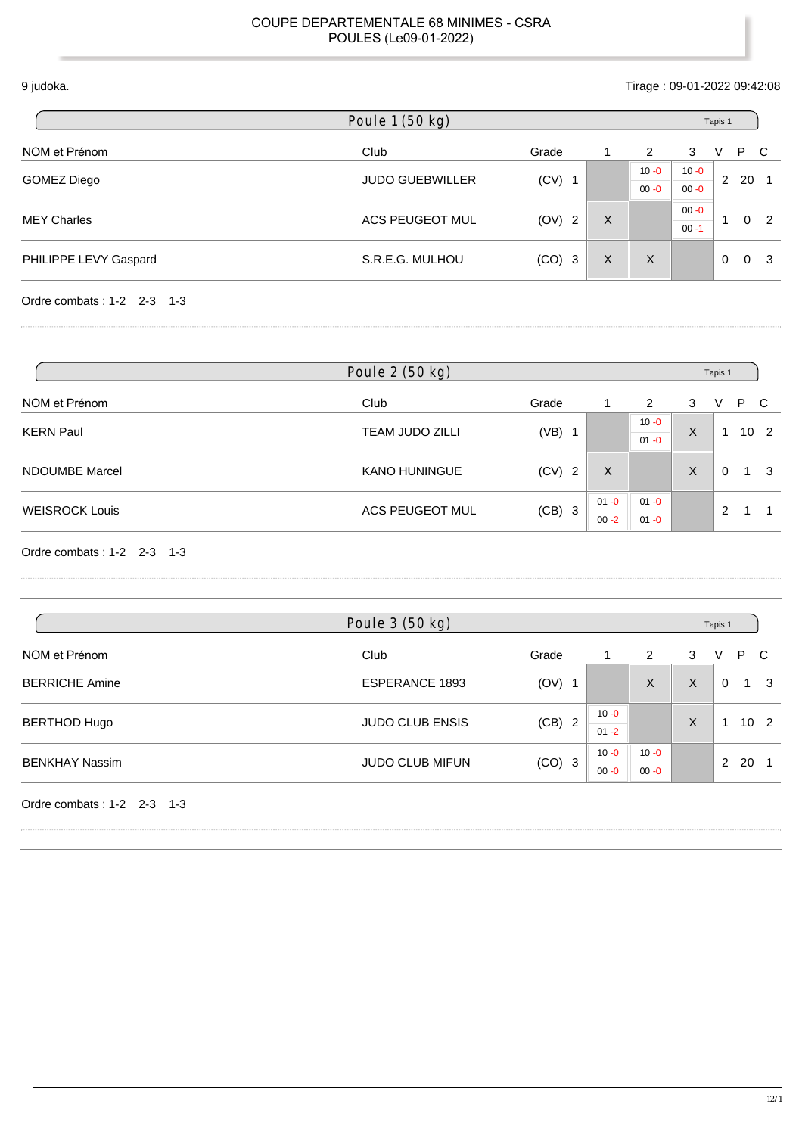| 9 judoka.             |                        |          |   |          | Tirage: 09-01-2022 09:42:08 |                |     |                |
|-----------------------|------------------------|----------|---|----------|-----------------------------|----------------|-----|----------------|
|                       | Poule 1 (50 kg)        |          |   |          | Tapis 1                     |                |     |                |
| NOM et Prénom         | Club                   | Grade    | 1 | 2        | 3                           | V              | P C |                |
|                       | <b>JUDO GUEBWILLER</b> |          |   | $10 - 0$ | $10 - 0$                    | 2              | 20  |                |
| GOMEZ Diego           |                        | $(CV)$ 1 |   | $00 - 0$ | $00 - 0$                    |                |     |                |
|                       |                        |          |   |          | $00 - 0$                    | 0 <sub>2</sub> |     |                |
| <b>MEY Charles</b>    | ACS PEUGEOT MUL        | (OV) 2   | X |          | $00 - 1$                    |                |     |                |
| PHILIPPE LEVY Gaspard | S.R.E.G. MULHOU        | $(CO)$ 3 | X | X        |                             | $\Omega$       |     | 0 <sup>3</sup> |
|                       |                        |          |   |          |                             |                |     |                |

Ordre combats : 1-2 2-3 1-3

|                       | Poule 2 (50 kg)        |            |          |          |   | Tapis 1  |   |                 |
|-----------------------|------------------------|------------|----------|----------|---|----------|---|-----------------|
| NOM et Prénom         | Club                   | Grade      |          | 2        | 3 | V        |   | P C             |
|                       | <b>TEAM JUDO ZILLI</b> | (VB)<br>-1 |          | $10 - 0$ | X |          |   |                 |
| <b>KERN Paul</b>      |                        |            |          | $01 - 0$ |   |          |   | 10 <sub>2</sub> |
| NDOUMBE Marcel        | <b>KANO HUNINGUE</b>   | $(CV)$ 2   | X        |          | X | $\Omega$ | 1 | -3              |
| <b>WEISROCK Louis</b> |                        |            | $01 - 0$ | $01 - 0$ |   |          |   |                 |
|                       | ACS PEUGEOT MUL        | $(CB)$ 3   | $00 - 2$ | $01 - 0$ |   | 2        |   |                 |

Ordre combats : 1-2 2-3 1-3

| Poule 3 (50 kg)        |          |                      |                      |   |   |              |                 |
|------------------------|----------|----------------------|----------------------|---|---|--------------|-----------------|
| Club                   | Grade    |                      | 2                    | 3 | V |              |                 |
| <b>ESPERANCE 1893</b>  | $(OV)$ 1 |                      | X                    | X | 0 |              | - 3             |
| <b>JUDO CLUB ENSIS</b> | (CB) 2   | $10 - 0$<br>$01 - 2$ |                      | X |   |              | 10 <sub>2</sub> |
| <b>JUDO CLUB MIFUN</b> | $(CO)$ 3 | $10 - 0$<br>$00 - 0$ | $10 - 0$<br>$00 - 0$ |   |   |              |                 |
|                        |          |                      |                      |   |   | Tapis 1<br>2 | P C<br>1<br>20  |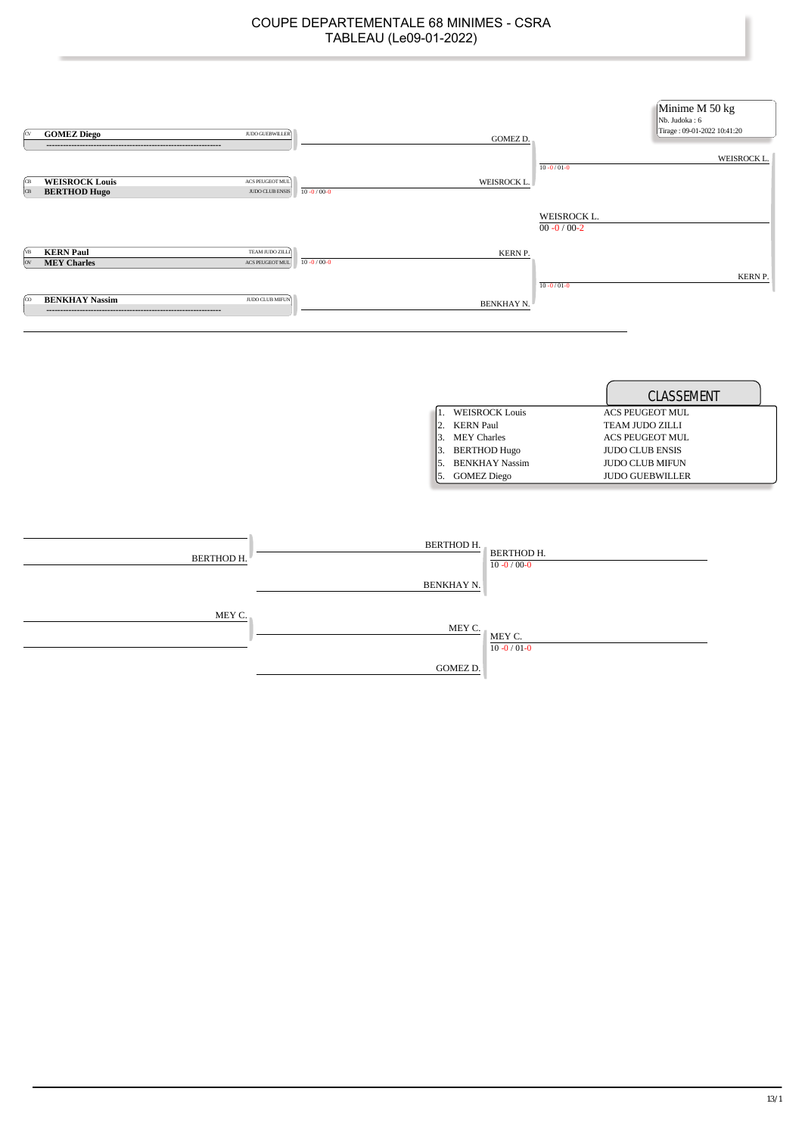| ſcv              | <b>GOMEZ Diego</b><br>JUDO GUEBWILLER<br>-----------------------------------       | <b>GOMEZ D.</b>                  | Minime M 50 kg<br>Nb. Judoka: 6<br>Tirage: 09-01-2022 10:41:20 |
|------------------|------------------------------------------------------------------------------------|----------------------------------|----------------------------------------------------------------|
|                  |                                                                                    |                                  | WEISROCK L.<br>$10 - 0 / 01 - 0$                               |
| ÍСВ<br><b>CB</b> | <b>WEISROCK Louis</b><br>ACS PEUGEOT MUL<br><b>BERTHOD Hugo</b><br>JUDO CLUB ENSIS | WEISROCK L.<br>$10 - 0 / 00 - 0$ |                                                                |
|                  |                                                                                    |                                  | WEISROCK L.<br>$00 - 0 / 00 - 2$                               |
| ÍИB<br><b>OV</b> | TEAM JUDO ZILLI<br><b>KERN Paul</b><br><b>MEY Charles</b><br>ACS PEUGEOT MUL       | KERN P.<br>$10 - 0 / 00 - 0$     |                                                                |
|                  |                                                                                    |                                  | KERN P.<br>$10 - 0/01 - 0$                                     |
| ſco              | <b>BENKHAY Nassim</b><br>JUDO CLUB MIFUN                                           | BENKHAY N.                       |                                                                |

|                       | <b>CLASSEMENT</b>      |
|-----------------------|------------------------|
| <b>WEISROCK Louis</b> | <b>ACS PEUGEOT MUL</b> |
| <b>KERN Paul</b>      | <b>TEAM JUDO ZILLI</b> |
| <b>MEY Charles</b>    | ACS PEUGEOT MUL        |
| <b>BERTHOD Hugo</b>   | <b>JUDO CLUB ENSIS</b> |
| <b>BENKHAY Nassim</b> | <b>JUDO CLUB MIFUN</b> |
| <b>GOMEZ Diego</b>    | <b>JUDO GUEBWILLER</b> |